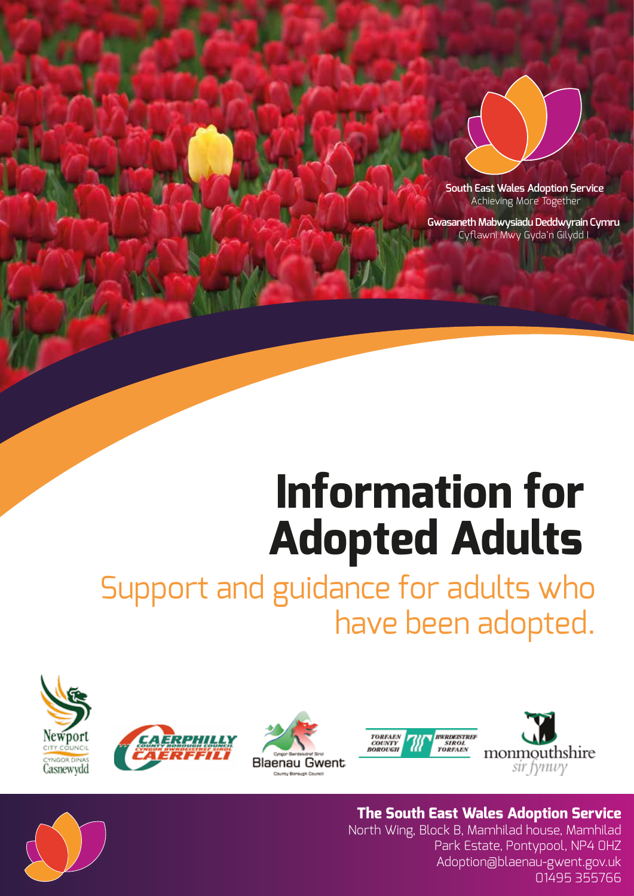

**South East Wales Adoption Service** Achieving More Together

**Gwasaneth Mabwysiadu Deddwyrain Cymru** Cyflawni Mwy Gyda'n Gilydd I

# **Information for Adopted Adults**

Support and guidance for adults who have been adopted.









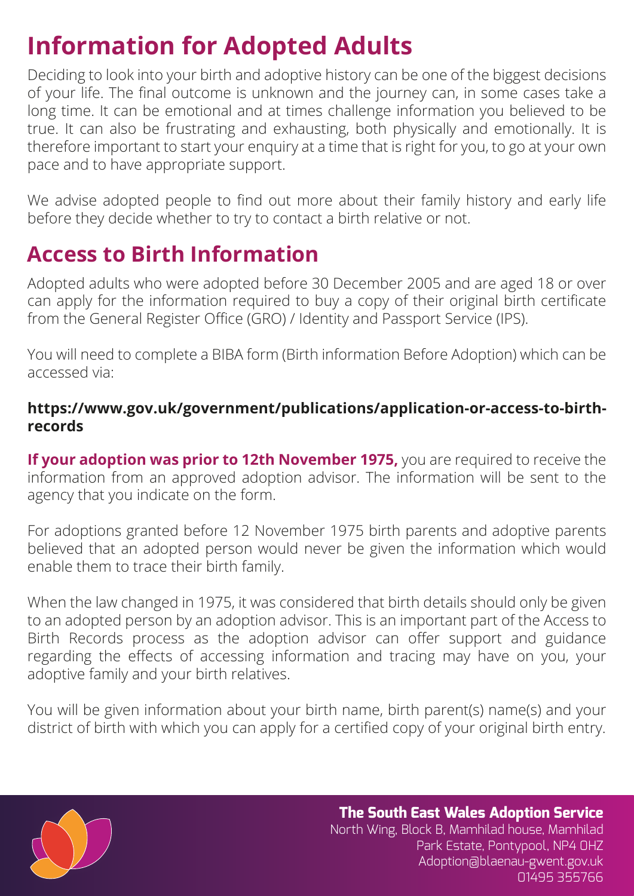# **Information for Adopted Adults**

Deciding to look into your birth and adoptive history can be one of the biggest decisions of your life. The final outcome is unknown and the journey can, in some cases take a long time. It can be emotional and at times challenge information you believed to be true. It can also be frustrating and exhausting, both physically and emotionally. It is therefore important to start your enquiry at a time that is right for you, to go at your own pace and to have appropriate support.

We advise adopted people to find out more about their family history and early life before they decide whether to try to contact a birth relative or not.

### **Access to Birth Information**

Adopted adults who were adopted before 30 December 2005 and are aged 18 or over can apply for the information required to buy a copy of their original birth certificate from the General Register Office (GRO) / Identity and Passport Service (IPS).

You will need to complete a BIBA form (Birth information Before Adoption) which can be accessed via:

#### **https://www.gov.uk/government/publications/application-or-access-to-birthrecords**

**If your adoption was prior to 12th November 1975,** you are required to receive the information from an approved adoption advisor. The information will be sent to the agency that you indicate on the form.

For adoptions granted before 12 November 1975 birth parents and adoptive parents believed that an adopted person would never be given the information which would enable them to trace their birth family.

When the law changed in 1975, it was considered that birth details should only be given to an adopted person by an adoption advisor. This is an important part of the Access to Birth Records process as the adoption advisor can offer support and guidance regarding the effects of accessing information and tracing may have on you, your adoptive family and your birth relatives.

You will be given information about your birth name, birth parent(s) name(s) and your district of birth with which you can apply for a certified copy of your original birth entry.

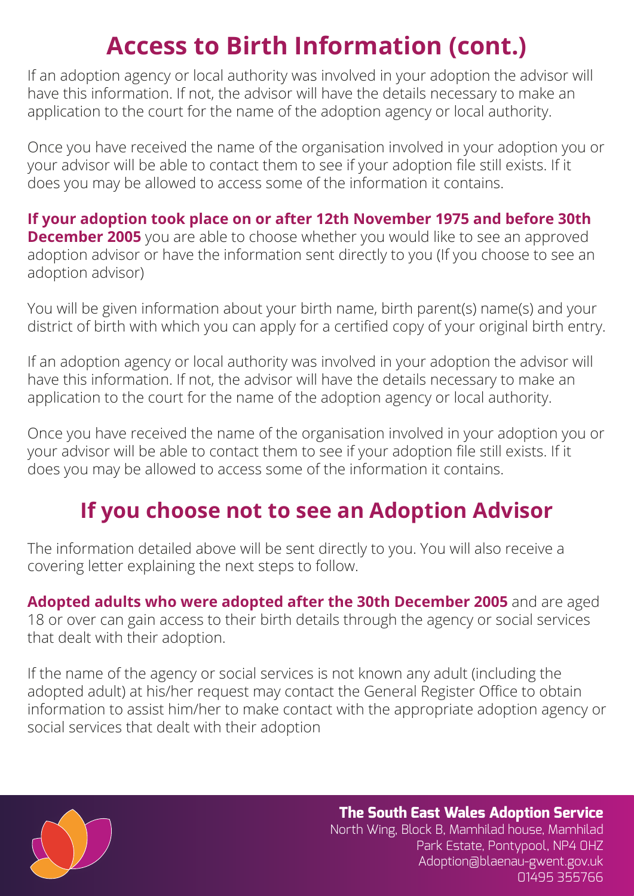## **Access to Birth Information (cont.)**

If an adoption agency or local authority was involved in your adoption the advisor will have this information. If not, the advisor will have the details necessary to make an application to the court for the name of the adoption agency or local authority.

Once you have received the name of the organisation involved in your adoption you or your advisor will be able to contact them to see if your adoption file still exists. If it does you may be allowed to access some of the information it contains.

**If your adoption took place on or after 12th November 1975 and before 30th December 2005** you are able to choose whether you would like to see an approved adoption advisor or have the information sent directly to you (If you choose to see an adoption advisor)

You will be given information about your birth name, birth parent(s) name(s) and your district of birth with which you can apply for a certified copy of your original birth entry.

If an adoption agency or local authority was involved in your adoption the advisor will have this information. If not, the advisor will have the details necessary to make an application to the court for the name of the adoption agency or local authority.

Once you have received the name of the organisation involved in your adoption you or your advisor will be able to contact them to see if your adoption file still exists. If it does you may be allowed to access some of the information it contains.

### **If you choose not to see an Adoption Advisor**

The information detailed above will be sent directly to you. You will also receive a covering letter explaining the next steps to follow.

**Adopted adults who were adopted after the 30th December 2005** and are aged 18 or over can gain access to their birth details through the agency or social services that dealt with their adoption.

If the name of the agency or social services is not known any adult (including the adopted adult) at his/her request may contact the General Register Office to obtain information to assist him/her to make contact with the appropriate adoption agency or social services that dealt with their adoption

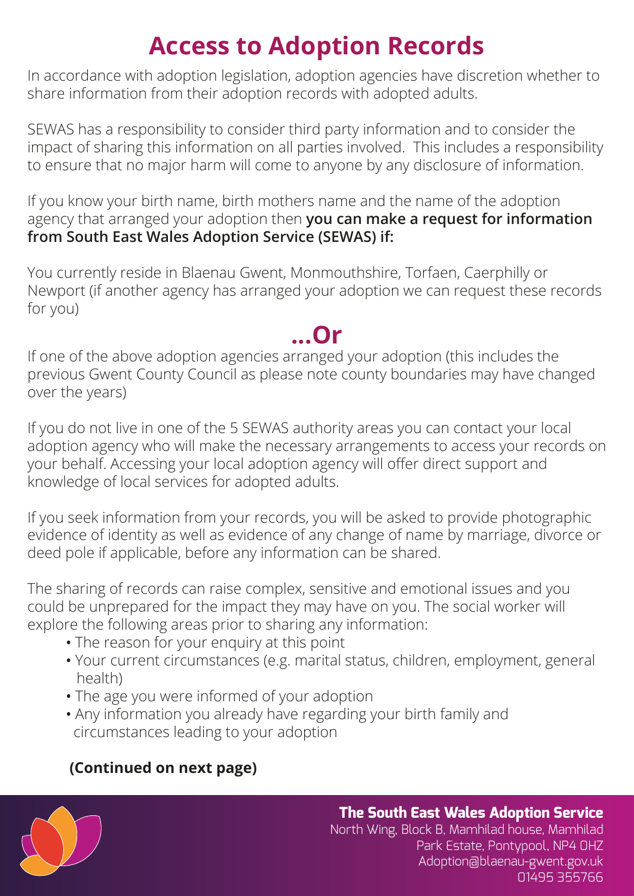# **Access to Adoption Records**

In accordance with adoption legislation, adoption agencies have discretion whether to share information from their adoption records with adopted adults.

SEWAS has a responsibility to consider third party information and to consider the impact of sharing this information on all parties involved. This includes a responsibility to ensure that no major harm will come to anyone by any disclosure of information.

If you know your birth name, birth mothers name and the name of the adoption agency that arranged your adoption then **you can make a request for information from South East Wales Adoption Service (SEWAS) if:**

You currently reside in Blaenau Gwent, Monmouthshire, Torfaen, Caerphilly or Newport (if another agency has arranged your adoption we can request these records for you)

### **...Or**

If one of the above adoption agencies arranged your adoption (this includes the previous Gwent County Council as please note county boundaries may have changed over the years)

If you do not live in one of the 5 SEWAS authority areas you can contact your local adoption agency who will make the necessary arrangements to access your records on your behalf. Accessing your local adoption agency will offer direct support and knowledge of local services for adopted adults.

If you seek information from your records, you will be asked to provide photographic evidence of identity as well as evidence of any change of name by marriage, divorce or deed pole if applicable, before any information can be shared.

The sharing of records can raise complex, sensitive and emotional issues and you could be unprepared for the impact they may have on you. The social worker will explore the following areas prior to sharing any information:

- The reason for your enquiry at this point
- ï Your current circumstances (e.g. marital status, children, employment, general health)
- The age you were informed of your adoption
- Any information you already have regarding your birth family and circumstances leading to your adoption

### **(Continued on next page)**

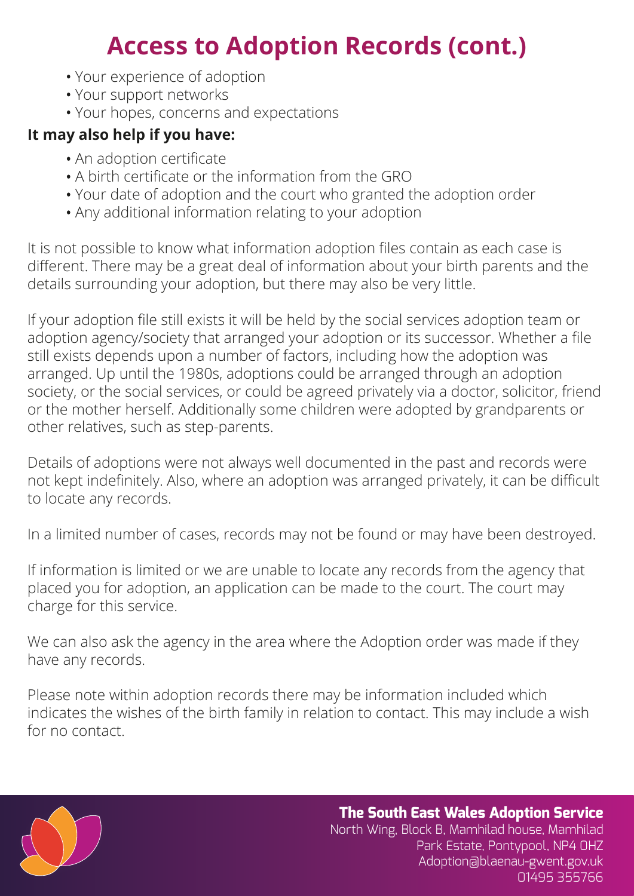## **Access to Adoption Records (cont.)**

- Your experience of adoption
- Your support networks
- Your hopes, concerns and expectations

#### **It may also help if you have:**

- An adoption certificate
- A birth certificate or the information from the GRO
- Your date of adoption and the court who granted the adoption order
- Any additional information relating to your adoption

It is not possible to know what information adoption files contain as each case is different. There may be a great deal of information about your birth parents and the details surrounding your adoption, but there may also be very little.

If your adoption file still exists it will be held by the social services adoption team or adoption agency/society that arranged your adoption or its successor. Whether a file still exists depends upon a number of factors, including how the adoption was arranged. Up until the 1980s, adoptions could be arranged through an adoption society, or the social services, or could be agreed privately via a doctor, solicitor, friend or the mother herself. Additionally some children were adopted by grandparents or other relatives, such as step-parents.

Details of adoptions were not always well documented in the past and records were not kept indefinitely. Also, where an adoption was arranged privately, it can be difficult to locate any records.

In a limited number of cases, records may not be found or may have been destroyed.

If information is limited or we are unable to locate any records from the agency that placed you for adoption, an application can be made to the court. The court may charge for this service.

We can also ask the agency in the area where the Adoption order was made if they have any records.

Please note within adoption records there may be information included which indicates the wishes of the birth family in relation to contact. This may include a wish for no contact.

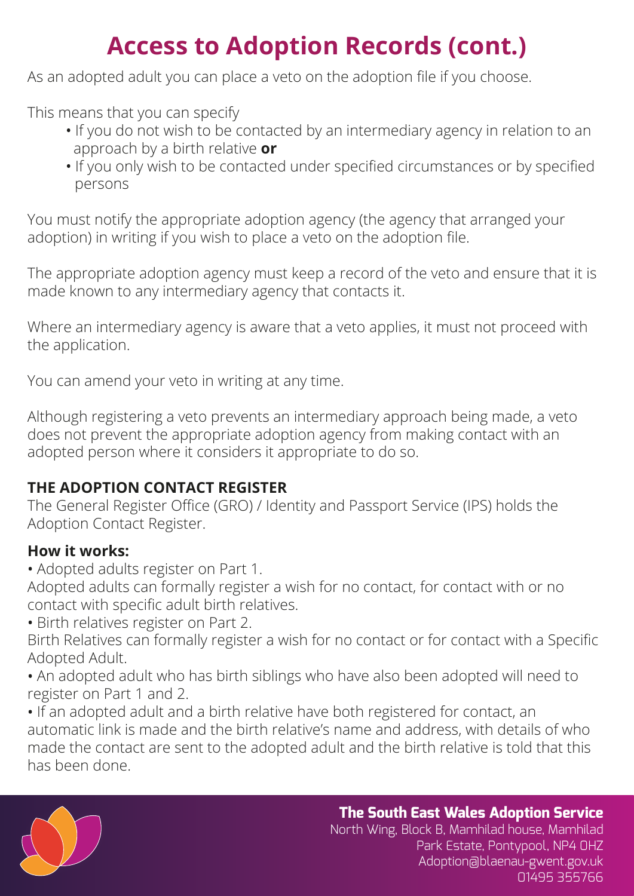# **Access to Adoption Records (cont.)**

As an adopted adult you can place a veto on the adoption file if you choose.

This means that you can specify

- If you do not wish to be contacted by an intermediary agency in relation to an approach by a birth relative **or**
- If you only wish to be contacted under specified circumstances or by specified persons

You must notify the appropriate adoption agency (the agency that arranged your adoption) in writing if you wish to place a veto on the adoption file.

The appropriate adoption agency must keep a record of the veto and ensure that it is made known to any intermediary agency that contacts it.

Where an intermediary agency is aware that a veto applies, it must not proceed with the application.

You can amend your veto in writing at any time.

Although registering a veto prevents an intermediary approach being made, a veto does not prevent the appropriate adoption agency from making contact with an adopted person where it considers it appropriate to do so.

#### **THE ADOPTION CONTACT REGISTER**

The General Register Office (GRO) / Identity and Passport Service (IPS) holds the Adoption Contact Register.

#### **How it works:**

• Adopted adults register on Part 1.

Adopted adults can formally register a wish for no contact, for contact with or no contact with specific adult birth relatives.

**·** Birth relatives register on Part 2.

Birth Relatives can formally register a wish for no contact or for contact with a Specific Adopted Adult.

• An adopted adult who has birth siblings who have also been adopted will need to register on Part 1 and 2.

• If an adopted adult and a birth relative have both registered for contact, an automatic link is made and the birth relative's name and address, with details of who made the contact are sent to the adopted adult and the birth relative is told that this has been done.



**The South East Wales Adoption Service**  North Wing, Block B, Mamhilad house, Mamhilad

Park Estate, Pontypool, NP4 0HZ Adoption@blaenau-gwent.gov.uk 01495 355766